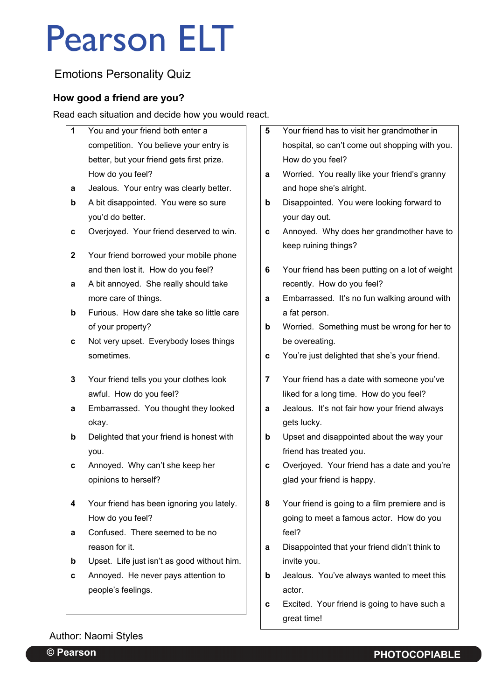# Pearson ELT

### Emotions Personality Quiz

#### **How good a friend are you?**

Read each situation and decide how you would react.

**1** You and your friend both enter a competition. You believe your entry is better, but your friend gets first prize. How do you feel? **a** Jealous. Your entry was clearly better. **b** A bit disappointed. You were so sure you'd do better. **c** Overjoyed. Your friend deserved to win. **2** Your friend borrowed your mobile phone and then lost it. How do you feel? **a** A bit annoyed. She really should take more care of things. **b** Furious. How dare she take so little care of your property? **c** Not very upset. Everybody loses things sometimes. **3** Your friend tells you your clothes look awful. How do you feel? **a** Embarrassed. You thought they looked okay. **b** Delighted that your friend is honest with you. **c** Annoyed. Why can't she keep her opinions to herself? **4** Your friend has been ignoring you lately. How do you feel? **a** Confused. There seemed to be no reason for it. **b** Upset. Life just isn't as good without him. **c** Annoyed. He never pays attention to people's feelings. **5** Your friend has to visit her grandmother in hospital, so can't come out shopping with you. How do you feel? **a** Worried. You really like your friend's granny and hope she's alright. **b** Disappointed. You were looking forward to your day out. **c** Annoyed. Why does her grandmother have to keep ruining things? **6** Your friend has been putting on a lot of weight recently. How do you feel? **a** Embarrassed. It's no fun walking around with a fat person. **b** Worried. Something must be wrong for her to be overeating. **c** You're just delighted that she's your friend. **7** Your friend has a date with someone you've liked for a long time. How do you feel? **a** Jealous. It's not fair how your friend always gets lucky. **b** Upset and disappointed about the way your friend has treated you. **c** Overjoyed. Your friend has a date and you're glad your friend is happy. **8** Your friend is going to a film premiere and is going to meet a famous actor. How do you feel? **a** Disappointed that your friend didn't think to invite you. **b** Jealous. You've always wanted to meet this actor. **c** Excited. Your friend is going to have such a

great time!

Author: Naomi Styles